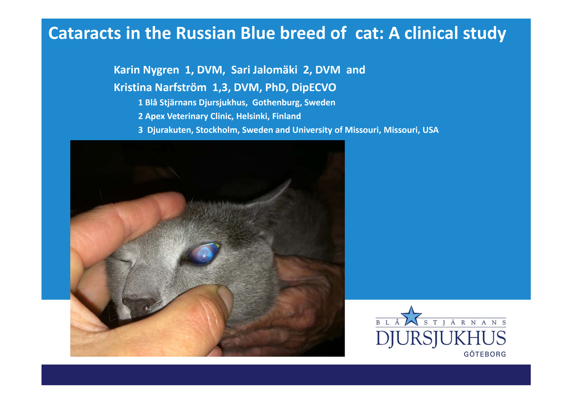### **Cataracts in the Russian Blue breed of cat: A clinical study**

**Karin Nygren 1, DVM, Sari Jalomäki 2, DVM and**

#### **Kristina Narfström 1,3, DVM, PhD, DipECVO**

- **1 Blå Stjärnans Djursjukhus, Gothenburg, Sweden**
- **2 Apex Veterinary Clinic, Helsinki, Finland**
- **3 Djurakuten, Stockholm, Sweden and University of Missouri, Missouri, USA**



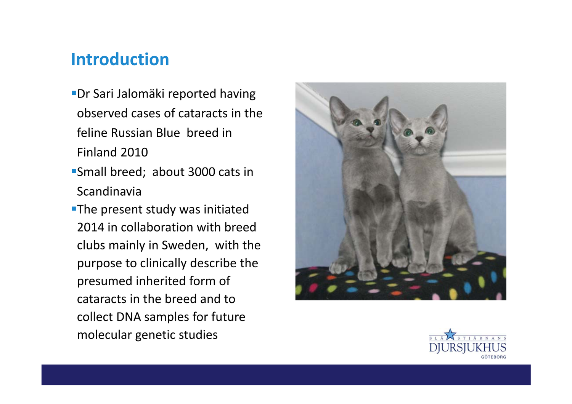### **Introduction**

- Dr Sari Jalomäki reported having observed cases of cataracts in the feline Russian Blue breed in Finland 2010
- Small breed; about 3000 cats in Scandinavia
- **The present study was initiated** 2014 in collaboration with breed clubs mainly in Sweden, with the purpose to clinically describe the presumed inherited form of cataracts in the breed and to collect DNA samples for future molecular genetic studies



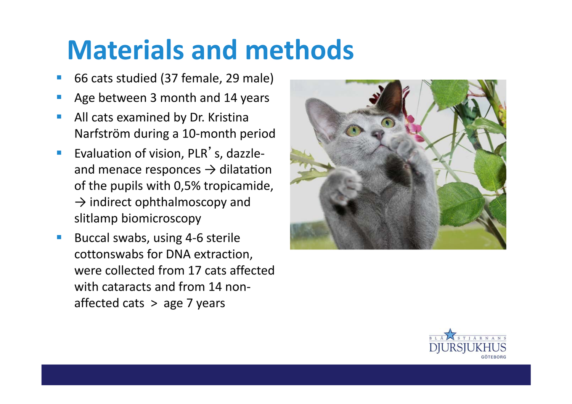## **Materials and methods**

- 66 cats studied (37 female, 29 male)
- Age between 3 month and 14 years
- **All cats examined by Dr. Kristina** Narfström during a 10‐month period
- Evaluation of vision, PLR's, dazzleand menace responces  $\rightarrow$  dilatation of the pupils with 0,5% tropicamide,  $\rightarrow$  indirect ophthalmoscopy and slitlamp biomicroscopy
- Buccal swabs, using 4-6 sterile cottonswabs for DNA extraction, were collected from 17 cats affected with cataracts and from 14 nonaffected cats > age 7 years



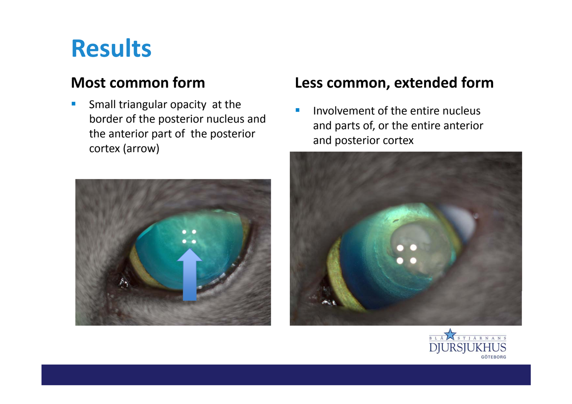### **Results**

#### **Most common form**

**Small triangular opacity at the** border of the posterior nucleus and the anterior part of the posterior cortex (arrow)



#### **Less common, extended form**

**IDED** Involvement of the entire nucleus and parts of, or the entire anterior and posterior cortex



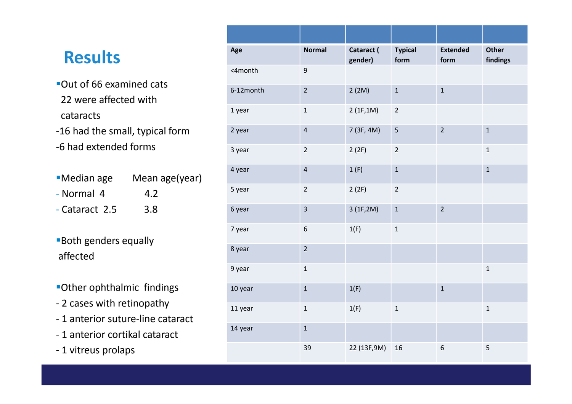### $Results$

- Out of 66 examined cats 22 were affected with cataracts
- ‐16 had the small, typical form ‐6 had extended forms

| <b>Median age</b> | Mean age(year) |
|-------------------|----------------|
| - Normal 4        | 4.2            |
| - Cataract 2.5    | 3.8            |

- Both genders equally affected
- Other ophthalmic findings
- ‐ 2 cases with retinopathy
- ‐ 1 anterior suture‐line cataract
- ‐ 1 anterior cortikal cataract
- ‐ 1 vitreus prolaps

| Age       | <b>Normal</b>           | Cataract (<br>gender) | <b>Typical</b><br>form | <b>Extended</b><br>form | <b>Other</b><br>findings |
|-----------|-------------------------|-----------------------|------------------------|-------------------------|--------------------------|
| <4month   | $\overline{9}$          |                       |                        |                         |                          |
| 6-12month | $\overline{2}$          | 2(2M)                 | $\mathbf 1$            | $\mathbf{1}$            |                          |
| 1 year    | $\mathbf 1$             | 2(1F, 1M)             | $\mathbf 2$            |                         |                          |
| 2 year    | $\overline{\mathbf{4}}$ | 7 (3F, 4M)            | 5                      | $\overline{2}$          | $\mathbf 1$              |
| 3 year    | $\overline{2}$          | 2(2F)                 | $\overline{2}$         |                         | $\mathbf 1$              |
| 4 year    | $\overline{4}$          | 1(F)                  | $\mathbf{1}$           |                         | $\mathbf 1$              |
| 5 year    | $\overline{2}$          | 2(2F)                 | $\mathbf 2$            |                         |                          |
| 6 year    | $\overline{\mathbf{3}}$ | 3(1F, 2M)             | $\mathbf 1$            | $\overline{2}$          |                          |
| 7 year    | 6                       | 1(F)                  | $\mathbf 1$            |                         |                          |
| 8 year    | $\overline{2}$          |                       |                        |                         |                          |
| 9 year    | $\mathbf 1$             |                       |                        |                         | $\mathbf 1$              |
| 10 year   | $\mathbf{1}$            | 1(F)                  |                        | $\mathbf{1}$            |                          |
| 11 year   | $\mathbf{1}$            | 1(F)                  | $\mathbf 1$            |                         | $\mathbf 1$              |
| 14 year   | $\mathbf{1}$            |                       |                        |                         |                          |
|           | 39                      | 22 (13F, 9M)          | 16                     | 6                       | 5                        |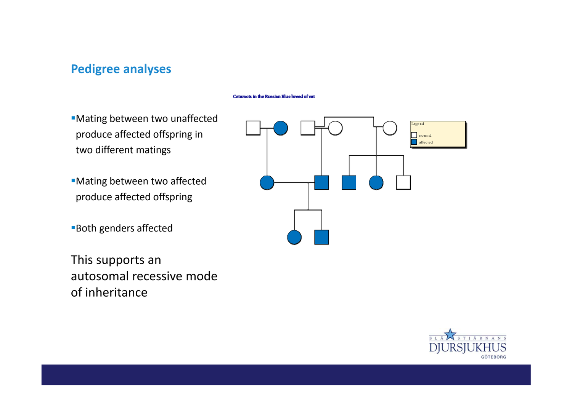#### **Pedigree analyses**

#### Cataracts in the Russian Elue breed of cat

- Mating between two unaffected produce affected offspring in two different matings
- Mating between two affected produce affected offspring
- Both genders affected
- This supports an autosomal recessive mode of inheritance



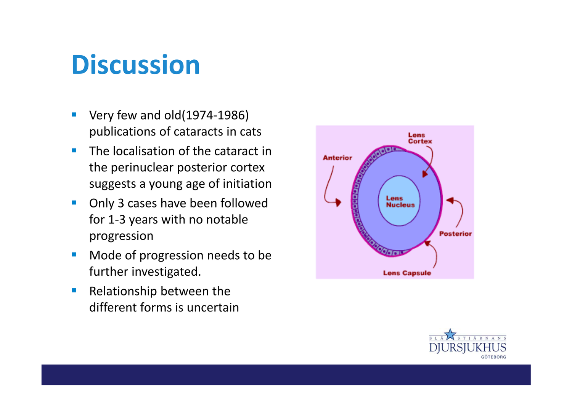## **Discussion**

- Very few and old(1974-1986) publications of cataracts in cats
- **The localisation of the cataract in** the perinuclear posterior cortex suggests a young age of initiation
- **Only 3 cases have been followed** for 1‐3 years with no notable progression
- **Mode of progression needs to be** further investigated.
- **Relationship between the** different forms is uncertain



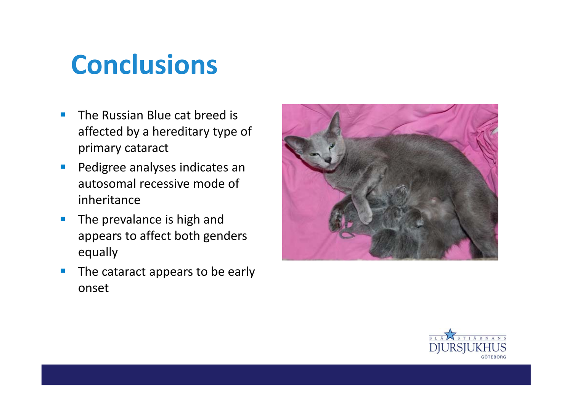# **Conclusions**

- The Russian Blue cat breed is affected by a hereditary type of primary cataract
- **Pedigree analyses indicates an** autosomal recessive mode of inheritance
- **The prevalance is high and** appears to affect both genders equally
- **The cataract appears to be early** onset



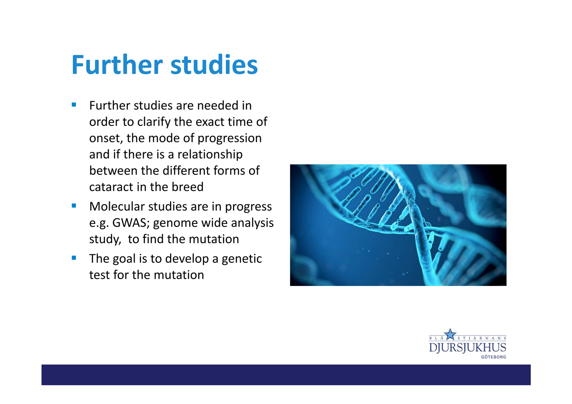### **Further studies**

- **Further studies are needed in** order to clarify the exact time of onset, the mode of progression and if there is a relationship between the different forms of cataract in the breed
- **Nolecular studies are in progress** e.g. GWAS; genome wide analysis study, to find the mutation
- $\blacksquare$  The goal is to develop a genetic test for the mutation